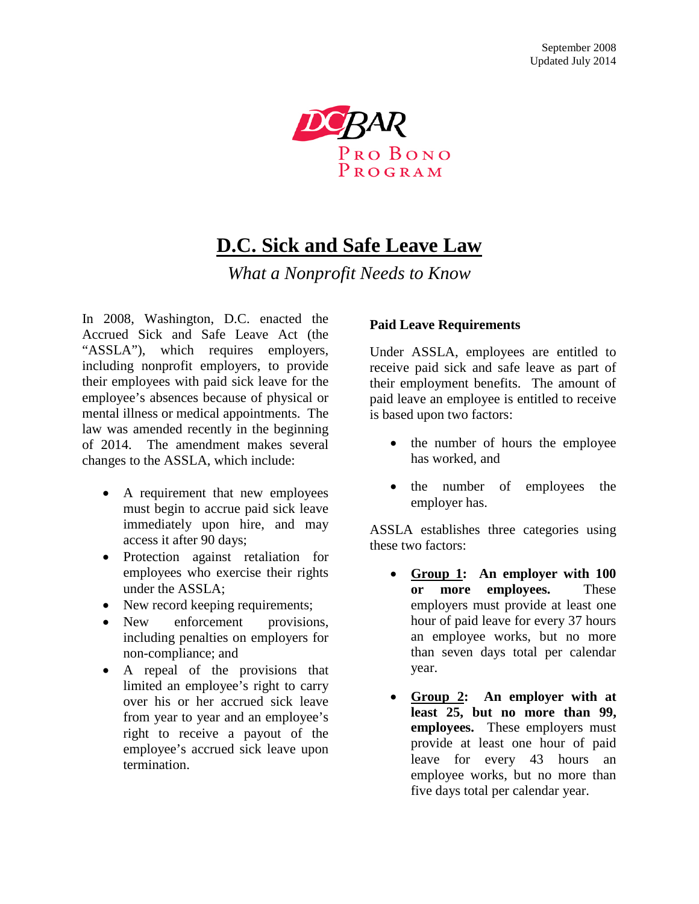

# **D.C. Sick and Safe Leave Law**

*What a Nonprofit Needs to Know*

In 2008, Washington, D.C. enacted the Accrued Sick and Safe Leave Act (the "ASSLA"), which requires employers, including nonprofit employers, to provide their employees with paid sick leave for the employee's absences because of physical or mental illness or medical appointments. The law was amended recently in the beginning of 2014. The amendment makes several changes to the ASSLA, which include:

- A requirement that new employees must begin to accrue paid sick leave immediately upon hire, and may access it after 90 days;
- Protection against retaliation for employees who exercise their rights under the ASSLA;
- New record keeping requirements;
- New enforcement provisions, including penalties on employers for non-compliance; and
- A repeal of the provisions that limited an employee's right to carry over his or her accrued sick leave from year to year and an employee's right to receive a payout of the employee's accrued sick leave upon termination.

#### **Paid Leave Requirements**

Under ASSLA, employees are entitled to receive paid sick and safe leave as part of their employment benefits. The amount of paid leave an employee is entitled to receive is based upon two factors:

- the number of hours the employee has worked, and
- the number of employees the employer has.

ASSLA establishes three categories using these two factors:

- **Group 1: An employer with 100 or more employees.** These employers must provide at least one hour of paid leave for every 37 hours an employee works, but no more than seven days total per calendar year.
- **Group 2: An employer with at least 25, but no more than 99, employees.** These employers must provide at least one hour of paid leave for every 43 hours an employee works, but no more than five days total per calendar year.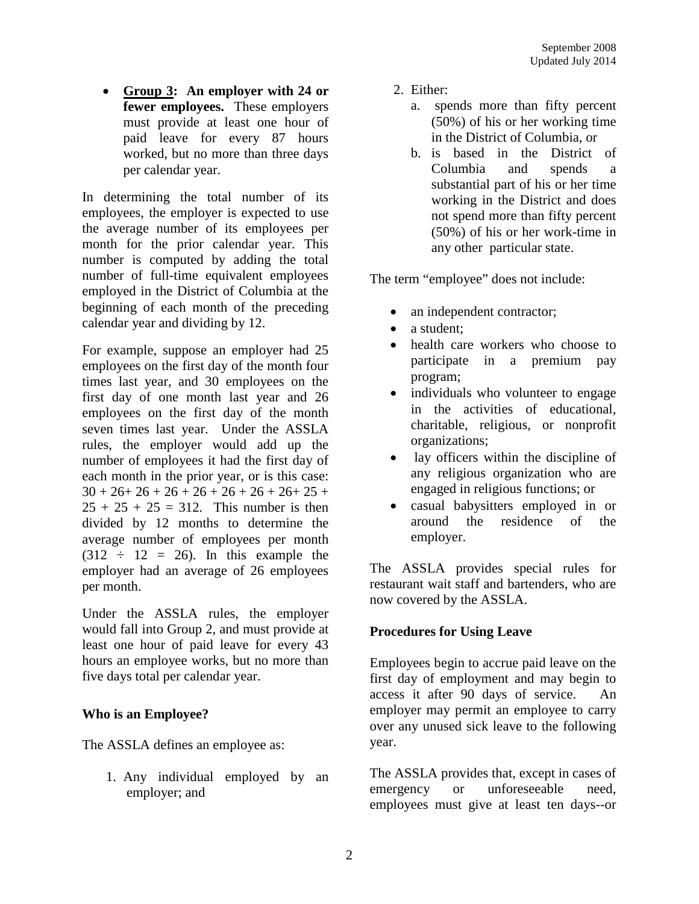• **Group 3: An employer with 24 or fewer employees.** These employers must provide at least one hour of paid leave for every 87 hours worked, but no more than three days per calendar year.

In determining the total number of its employees, the employer is expected to use the average number of its employees per month for the prior calendar year. This number is computed by adding the total number of full-time equivalent employees employed in the District of Columbia at the beginning of each month of the preceding calendar year and dividing by 12.

For example, suppose an employer had 25 employees on the first day of the month four times last year, and 30 employees on the first day of one month last year and 26 employees on the first day of the month seven times last year. Under the ASSLA rules, the employer would add up the number of employees it had the first day of each month in the prior year, or is this case:  $30 + 26 + 26 + 26 + 26 + 26 + 26 + 26 + 25 +$  $25 + 25 + 25 = 312$ . This number is then divided by 12 months to determine the average number of employees per month  $(312 \div 12 = 26)$ . In this example the employer had an average of 26 employees per month.

Under the ASSLA rules, the employer would fall into Group 2, and must provide at least one hour of paid leave for every 43 hours an employee works, but no more than five days total per calendar year.

## **Who is an Employee?**

The ASSLA defines an employee as:

1. Any individual employed by an employer; and

- 2. Either:
	- a. spends more than fifty percent (50%) of his or her working time in the District of Columbia, or
	- b. is based in the District of Columbia and spends a substantial part of his or her time working in the District and does not spend more than fifty percent (50%) of his or her work-time in any other particular state.

The term "employee" does not include:

- an independent contractor;
- a student:
- health care workers who choose to participate in a premium pay program;
- individuals who volunteer to engage in the activities of educational, charitable, religious, or nonprofit organizations;
- lay officers within the discipline of any religious organization who are engaged in religious functions; or
- casual babysitters employed in or around the residence of the employer.

The ASSLA provides special rules for restaurant wait staff and bartenders, who are now covered by the ASSLA.

## **Procedures for Using Leave**

Employees begin to accrue paid leave on the first day of employment and may begin to access it after 90 days of service. An employer may permit an employee to carry over any unused sick leave to the following year.

The ASSLA provides that, except in cases of emergency or unforeseeable need, employees must give at least ten days--or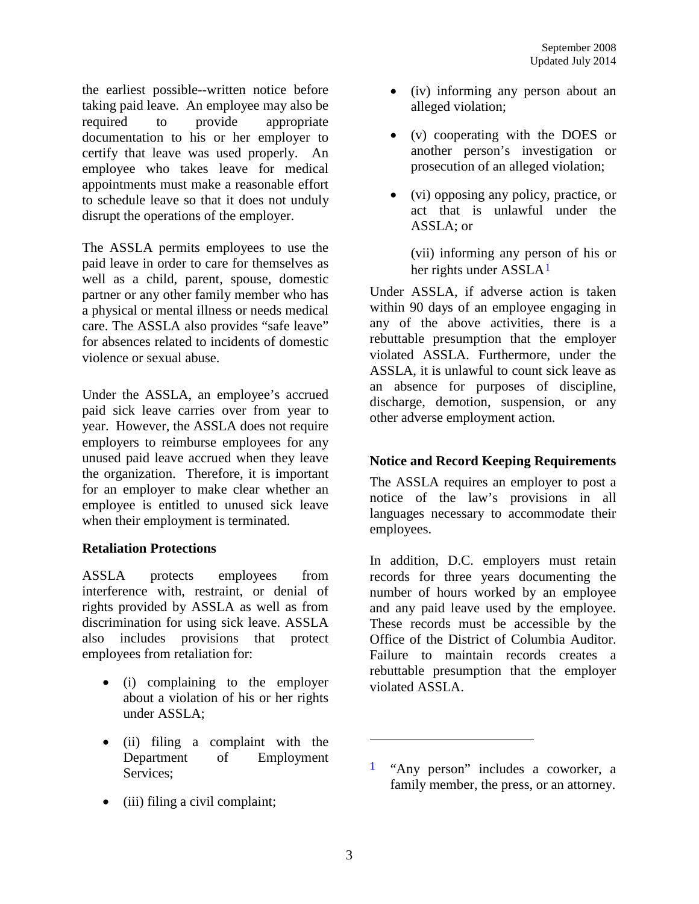the earliest possible--written notice before taking paid leave. An employee may also be required to provide appropriate documentation to his or her employer to certify that leave was used properly. An employee who takes leave for medical appointments must make a reasonable effort to schedule leave so that it does not unduly disrupt the operations of the employer.

The ASSLA permits employees to use the paid leave in order to care for themselves as well as a child, parent, spouse, domestic partner or any other family member who has a physical or mental illness or needs medical care. The ASSLA also provides "safe leave" for absences related to incidents of domestic violence or sexual abuse.

Under the ASSLA, an employee's accrued paid sick leave carries over from year to year. However, the ASSLA does not require employers to reimburse employees for any unused paid leave accrued when they leave the organization. Therefore, it is important for an employer to make clear whether an employee is entitled to unused sick leave when their employment is terminated.

## **Retaliation Protections**

ASSLA protects employees from interference with, restraint, or denial of rights provided by ASSLA as well as from discrimination for using sick leave. ASSLA also includes provisions that protect employees from retaliation for:

- (i) complaining to the employer about a violation of his or her rights under ASSLA;
- <span id="page-2-0"></span>• (ii) filing a complaint with the Department of Employment Services;
- (iii) filing a civil complaint;
- (iv) informing any person about an alleged violation;
- (v) cooperating with the DOES or another person's investigation or prosecution of an alleged violation;
- (vi) opposing any policy, practice, or act that is unlawful under the ASSLA; or

(vii) informing any person of his or her rights under ASSLA<sup>[1](#page-2-0)</sup>

Under ASSLA, if adverse action is taken within 90 days of an employee engaging in any of the above activities, there is a rebuttable presumption that the employer violated ASSLA. Furthermore, under the ASSLA, it is unlawful to count sick leave as an absence for purposes of discipline, discharge, demotion, suspension, or any other adverse employment action.

## **Notice and Record Keeping Requirements**

The ASSLA requires an employer to post a notice of the law's provisions in all languages necessary to accommodate their employees.

In addition, D.C. employers must retain records for three years documenting the number of hours worked by an employee and any paid leave used by the employee. These records must be accessible by the Office of the District of Columbia Auditor. Failure to maintain records creates a rebuttable presumption that the employer violated ASSLA.

 $\overline{a}$ 

<sup>1</sup> "Any person" includes a coworker, a family member, the press, or an attorney.